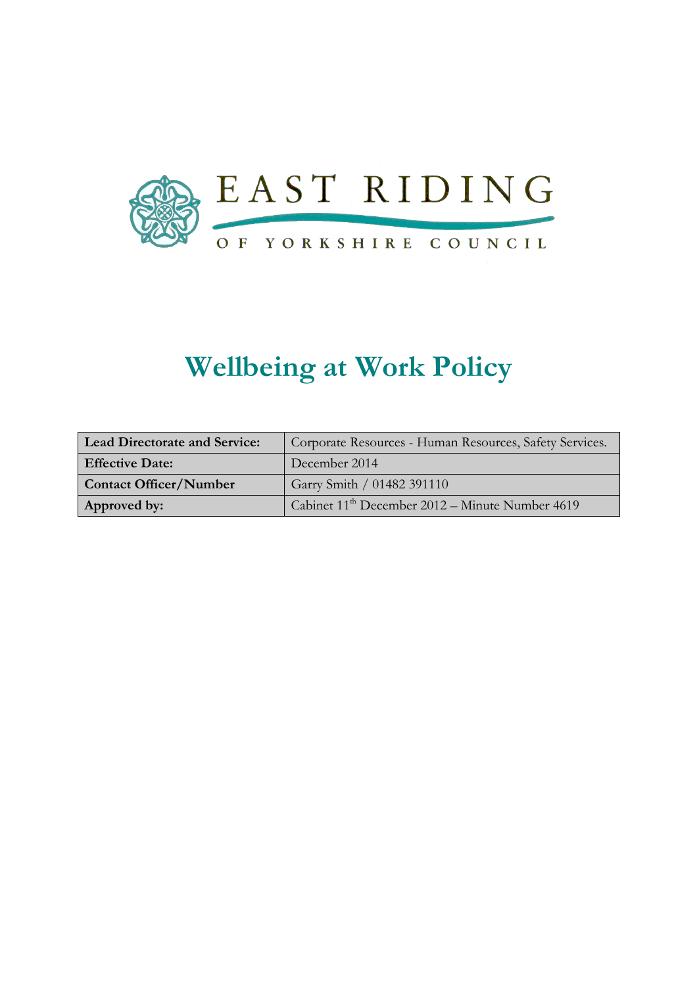

# Wellbeing at Work Policy

| <b>Lead Directorate and Service:</b> | Corporate Resources - Human Resources, Safety Services. |  |
|--------------------------------------|---------------------------------------------------------|--|
| <b>Effective Date:</b>               | December 2014                                           |  |
| <b>Contact Officer/Number</b>        | Garry Smith / 01482 391110                              |  |
| Approved by:                         | Cabinet $11th$ December 2012 – Minute Number 4619       |  |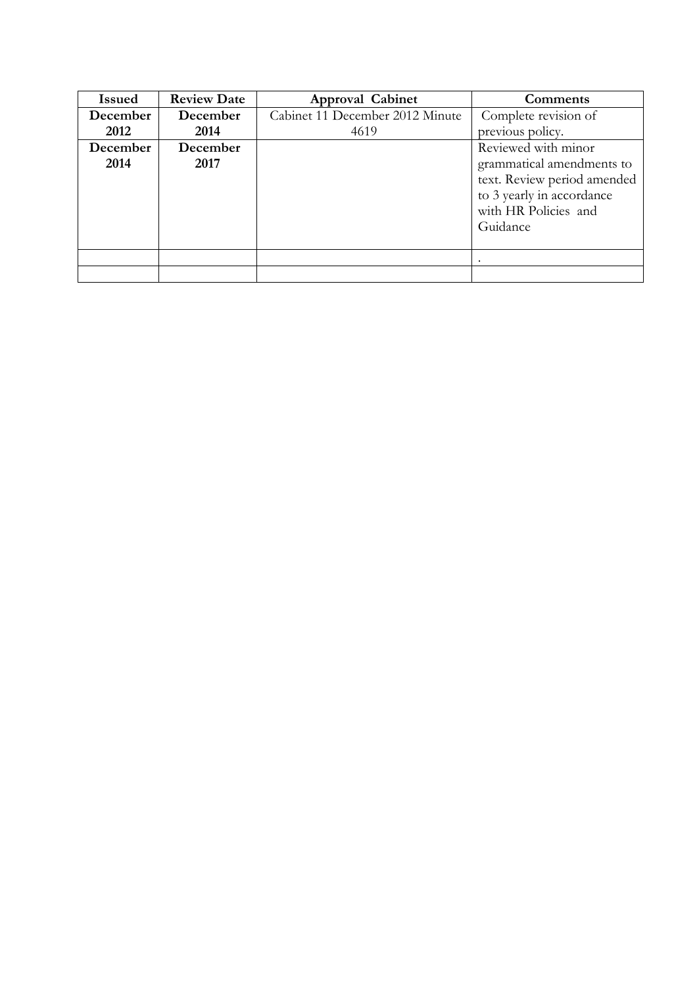| <b>Issued</b> | <b>Review Date</b> | <b>Approval Cabinet</b>         | Comments                    |
|---------------|--------------------|---------------------------------|-----------------------------|
| December      | December           | Cabinet 11 December 2012 Minute | Complete revision of        |
| 2012          | 2014               | 4619                            | previous policy.            |
| December      | December           |                                 | Reviewed with minor         |
| 2014          | 2017               |                                 | grammatical amendments to   |
|               |                    |                                 | text. Review period amended |
|               |                    |                                 | to 3 yearly in accordance   |
|               |                    |                                 | with HR Policies and        |
|               |                    |                                 | Guidance                    |
|               |                    |                                 |                             |
|               |                    |                                 |                             |
|               |                    |                                 |                             |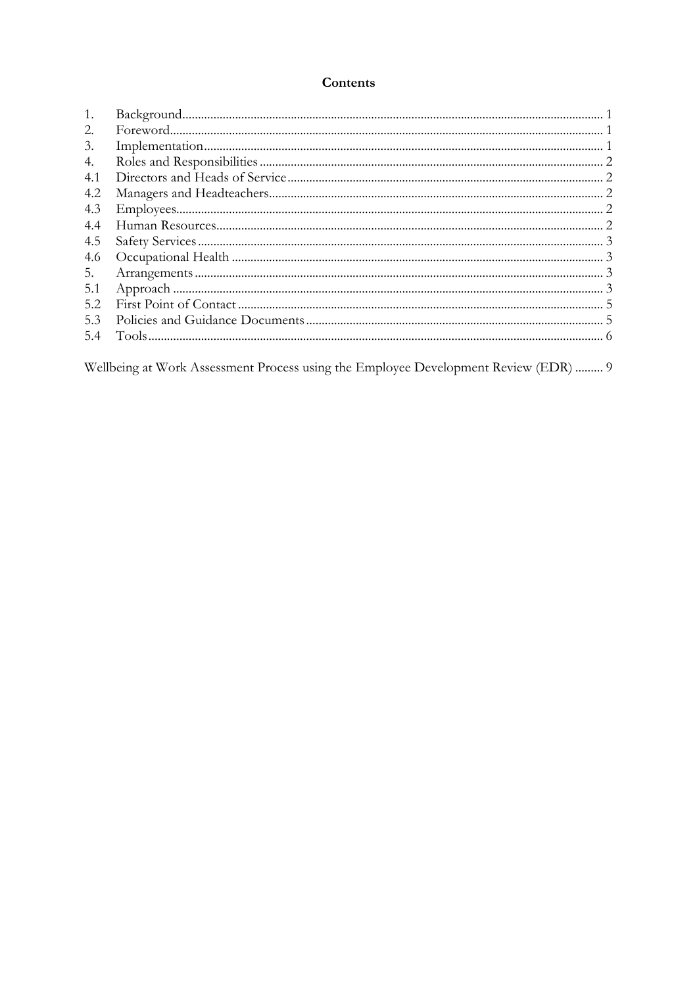## Contents

| 1.  |  |
|-----|--|
| 2.  |  |
| 3.  |  |
| 4.  |  |
| 4.1 |  |
| 4.2 |  |
| 4.3 |  |
| 4.4 |  |
| 4.5 |  |
| 4.6 |  |
| 5.  |  |
| 5.1 |  |
| 5.2 |  |
| 5.3 |  |
| 5.4 |  |

Wellbeing at Work Assessment Process using the Employee Development Review (EDR) ......... 9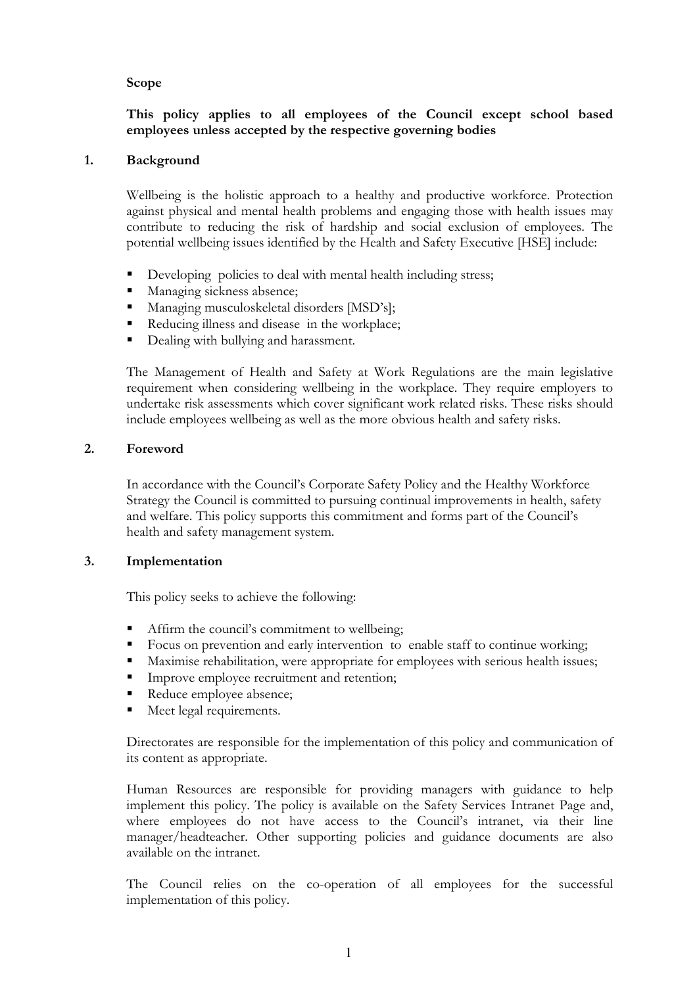## Scope

## This policy applies to all employees of the Council except school based employees unless accepted by the respective governing bodies

#### 1. Background

 Wellbeing is the holistic approach to a healthy and productive workforce. Protection against physical and mental health problems and engaging those with health issues may contribute to reducing the risk of hardship and social exclusion of employees. The potential wellbeing issues identified by the Health and Safety Executive [HSE] include:

- Developing policies to deal with mental health including stress;
- Managing sickness absence;
- Managing musculoskeletal disorders [MSD's];
- Reducing illness and disease in the workplace;
- Dealing with bullying and harassment.

The Management of Health and Safety at Work Regulations are the main legislative requirement when considering wellbeing in the workplace. They require employers to undertake risk assessments which cover significant work related risks. These risks should include employees wellbeing as well as the more obvious health and safety risks.

#### 2. Foreword

 In accordance with the Council's Corporate Safety Policy and the Healthy Workforce Strategy the Council is committed to pursuing continual improvements in health, safety and welfare. This policy supports this commitment and forms part of the Council's health and safety management system.

## 3. Implementation

This policy seeks to achieve the following:

- Affirm the council's commitment to wellbeing;
- Focus on prevention and early intervention to enable staff to continue working;
- Maximise rehabilitation, were appropriate for employees with serious health issues;
- Improve employee recruitment and retention;
- Reduce employee absence;
- Meet legal requirements.

 Directorates are responsible for the implementation of this policy and communication of its content as appropriate.

 Human Resources are responsible for providing managers with guidance to help implement this policy. The policy is available on the Safety Services Intranet Page and, where employees do not have access to the Council's intranet, via their line manager/headteacher. Other supporting policies and guidance documents are also available on the intranet.

 The Council relies on the co-operation of all employees for the successful implementation of this policy.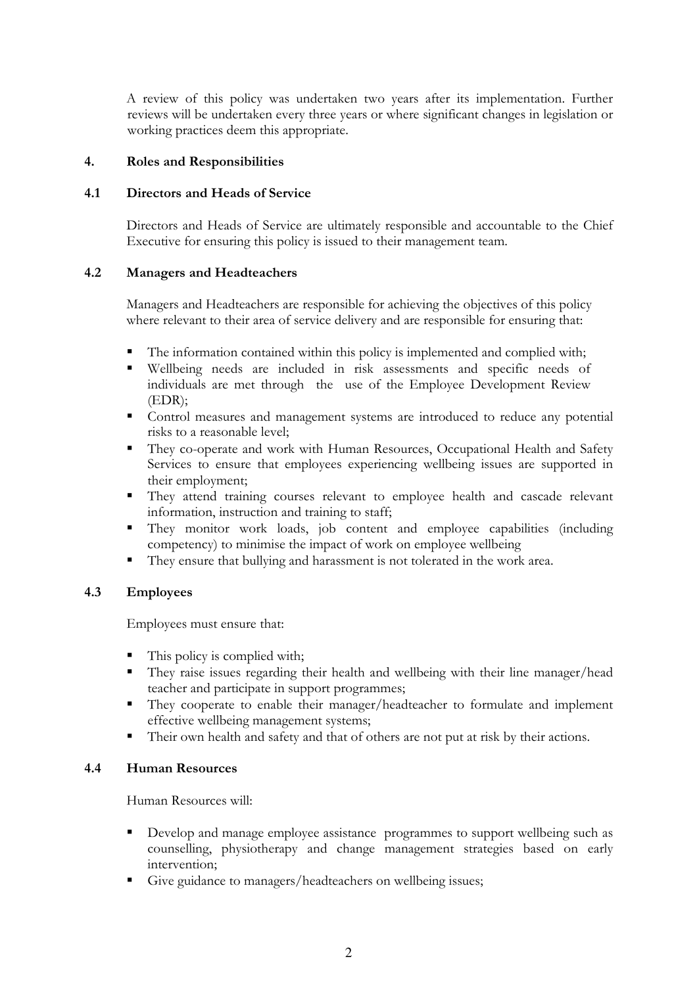A review of this policy was undertaken two years after its implementation. Further reviews will be undertaken every three years or where significant changes in legislation or working practices deem this appropriate.

## 4. Roles and Responsibilities

## 4.1 Directors and Heads of Service

 Directors and Heads of Service are ultimately responsible and accountable to the Chief Executive for ensuring this policy is issued to their management team.

## 4.2 Managers and Headteachers

 Managers and Headteachers are responsible for achieving the objectives of this policy where relevant to their area of service delivery and are responsible for ensuring that:

- The information contained within this policy is implemented and complied with;
- Wellbeing needs are included in risk assessments and specific needs of individuals are met through the use of the Employee Development Review (EDR);
- Control measures and management systems are introduced to reduce any potential risks to a reasonable level;
- They co-operate and work with Human Resources, Occupational Health and Safety Services to ensure that employees experiencing wellbeing issues are supported in their employment;
- They attend training courses relevant to employee health and cascade relevant information, instruction and training to staff;
- They monitor work loads, job content and employee capabilities (including competency) to minimise the impact of work on employee wellbeing
- They ensure that bullying and harassment is not tolerated in the work area.

## 4.3 Employees

Employees must ensure that:

- This policy is complied with;
- They raise issues regarding their health and wellbeing with their line manager/head teacher and participate in support programmes;
- They cooperate to enable their manager/headteacher to formulate and implement effective wellbeing management systems;
- Their own health and safety and that of others are not put at risk by their actions.

## 4.4 Human Resources

Human Resources will:

- Develop and manage employee assistance programmes to support wellbeing such as counselling, physiotherapy and change management strategies based on early intervention;
- Give guidance to managers/headteachers on wellbeing issues;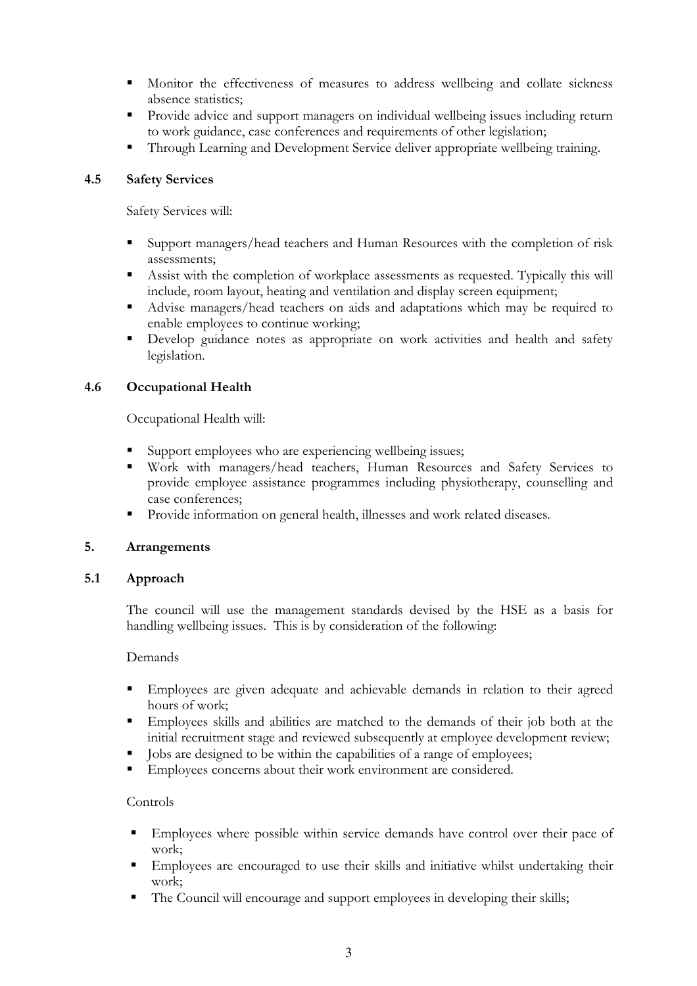- Monitor the effectiveness of measures to address wellbeing and collate sickness absence statistics;
- Provide advice and support managers on individual wellbeing issues including return to work guidance, case conferences and requirements of other legislation;
- Through Learning and Development Service deliver appropriate wellbeing training.

## 4.5 Safety Services

Safety Services will:

- Support managers/head teachers and Human Resources with the completion of risk assessments;
- Assist with the completion of workplace assessments as requested. Typically this will include, room layout, heating and ventilation and display screen equipment;
- Advise managers/head teachers on aids and adaptations which may be required to enable employees to continue working;
- Develop guidance notes as appropriate on work activities and health and safety legislation.

## 4.6 Occupational Health

Occupational Health will:

- Support employees who are experiencing wellbeing issues;
- Work with managers/head teachers, Human Resources and Safety Services to provide employee assistance programmes including physiotherapy, counselling and case conferences;
- Provide information on general health, illnesses and work related diseases.

## 5. Arrangements

## 5.1 Approach

The council will use the management standards devised by the HSE as a basis for handling wellbeing issues. This is by consideration of the following:

## Demands

- Employees are given adequate and achievable demands in relation to their agreed hours of work;
- Employees skills and abilities are matched to the demands of their job both at the initial recruitment stage and reviewed subsequently at employee development review;
- Jobs are designed to be within the capabilities of a range of employees;
- Employees concerns about their work environment are considered.

## Controls

- Employees where possible within service demands have control over their pace of work;
- Employees are encouraged to use their skills and initiative whilst undertaking their work;
- The Council will encourage and support employees in developing their skills;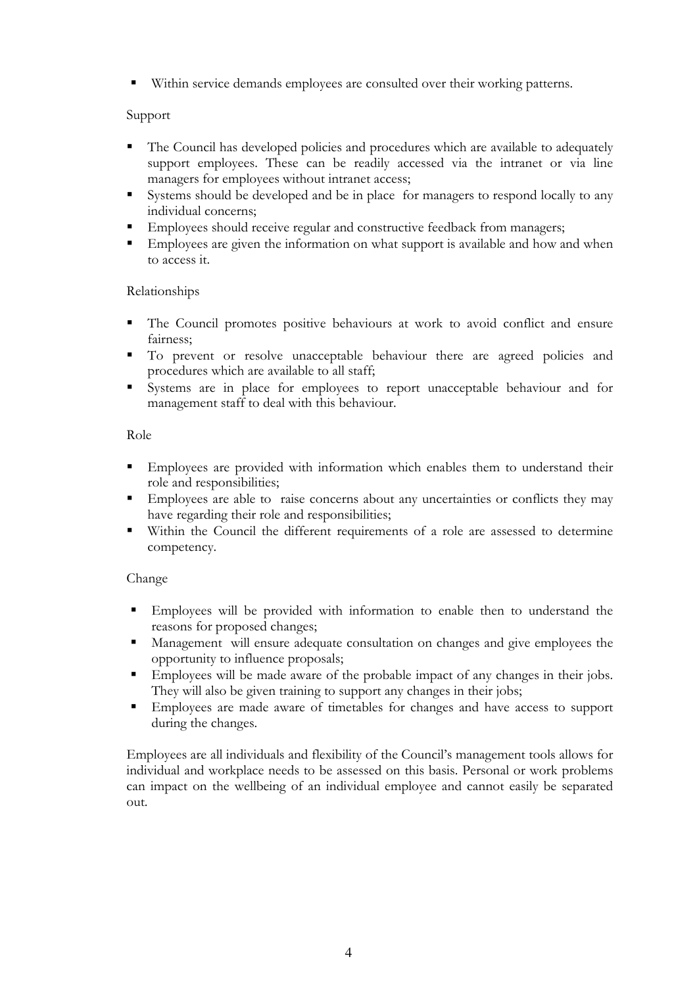Within service demands employees are consulted over their working patterns.

## Support

- The Council has developed policies and procedures which are available to adequately support employees. These can be readily accessed via the intranet or via line managers for employees without intranet access;
- Systems should be developed and be in place for managers to respond locally to any individual concerns;
- Employees should receive regular and constructive feedback from managers;
- Employees are given the information on what support is available and how and when to access it.

## Relationships

- The Council promotes positive behaviours at work to avoid conflict and ensure fairness;
- To prevent or resolve unacceptable behaviour there are agreed policies and procedures which are available to all staff;
- Systems are in place for employees to report unacceptable behaviour and for management staff to deal with this behaviour.

## Role

- Employees are provided with information which enables them to understand their role and responsibilities;
- Employees are able to raise concerns about any uncertainties or conflicts they may have regarding their role and responsibilities;
- Within the Council the different requirements of a role are assessed to determine competency.

## Change

- Employees will be provided with information to enable then to understand the reasons for proposed changes;
- **Management** will ensure adequate consultation on changes and give employees the opportunity to influence proposals;
- Employees will be made aware of the probable impact of any changes in their jobs. They will also be given training to support any changes in their jobs;
- Employees are made aware of timetables for changes and have access to support during the changes.

Employees are all individuals and flexibility of the Council's management tools allows for individual and workplace needs to be assessed on this basis. Personal or work problems can impact on the wellbeing of an individual employee and cannot easily be separated out.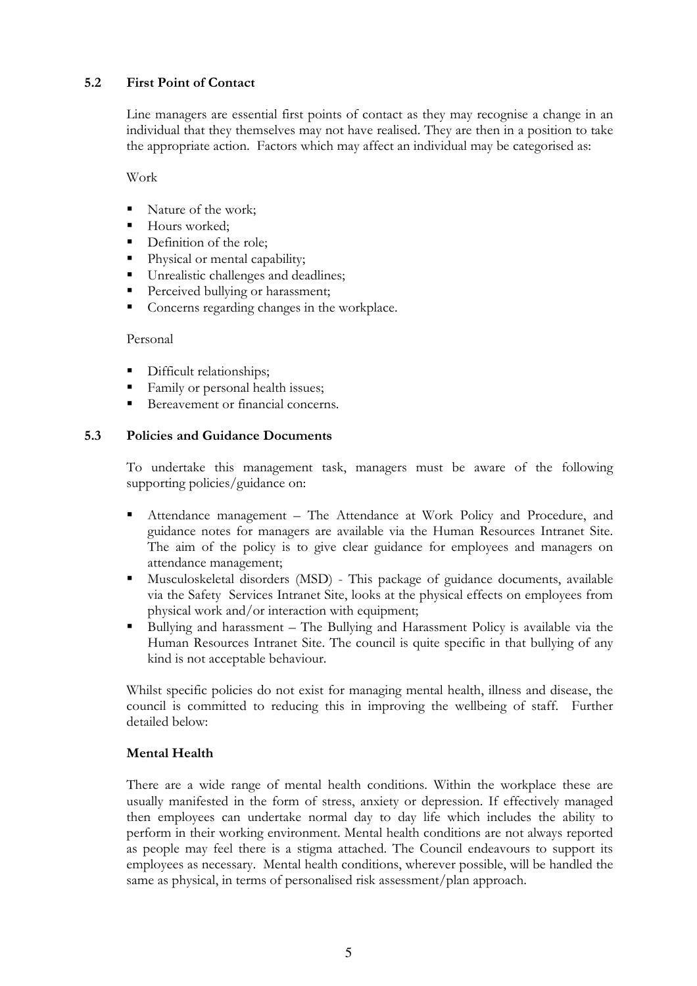## 5.2 First Point of Contact

Line managers are essential first points of contact as they may recognise a change in an individual that they themselves may not have realised. They are then in a position to take the appropriate action. Factors which may affect an individual may be categorised as:

Work

- Nature of the work;
- Hours worked:
- Definition of the role;
- Physical or mental capability;
- Unrealistic challenges and deadlines;
- Perceived bullying or harassment;
- Concerns regarding changes in the workplace.

#### Personal

- Difficult relationships;
- Family or personal health issues;
- Bereavement or financial concerns.

## 5.3 Policies and Guidance Documents

To undertake this management task, managers must be aware of the following supporting policies/guidance on:

- Attendance management The Attendance at Work Policy and Procedure, and guidance notes for managers are available via the Human Resources Intranet Site. The aim of the policy is to give clear guidance for employees and managers on attendance management;
- Musculoskeletal disorders (MSD) This package of guidance documents, available via the Safety Services Intranet Site, looks at the physical effects on employees from physical work and/or interaction with equipment;
- Bullying and harassment The Bullying and Harassment Policy is available via the Human Resources Intranet Site. The council is quite specific in that bullying of any kind is not acceptable behaviour.

Whilst specific policies do not exist for managing mental health, illness and disease, the council is committed to reducing this in improving the wellbeing of staff. Further detailed below:

## Mental Health

There are a wide range of mental health conditions. Within the workplace these are usually manifested in the form of stress, anxiety or depression. If effectively managed then employees can undertake normal day to day life which includes the ability to perform in their working environment. Mental health conditions are not always reported as people may feel there is a stigma attached. The Council endeavours to support its employees as necessary. Mental health conditions, wherever possible, will be handled the same as physical, in terms of personalised risk assessment/plan approach.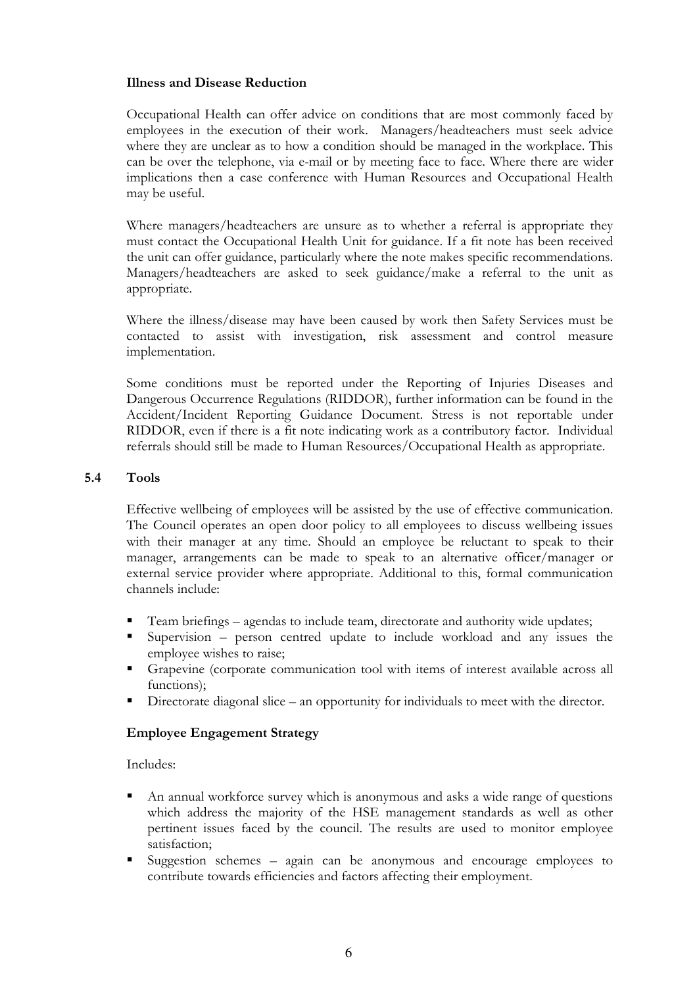## Illness and Disease Reduction

Occupational Health can offer advice on conditions that are most commonly faced by employees in the execution of their work. Managers/headteachers must seek advice where they are unclear as to how a condition should be managed in the workplace. This can be over the telephone, via e-mail or by meeting face to face. Where there are wider implications then a case conference with Human Resources and Occupational Health may be useful.

Where managers/headteachers are unsure as to whether a referral is appropriate they must contact the Occupational Health Unit for guidance. If a fit note has been received the unit can offer guidance, particularly where the note makes specific recommendations. Managers/headteachers are asked to seek guidance/make a referral to the unit as appropriate.

Where the illness/disease may have been caused by work then Safety Services must be contacted to assist with investigation, risk assessment and control measure implementation.

Some conditions must be reported under the Reporting of Injuries Diseases and Dangerous Occurrence Regulations (RIDDOR), further information can be found in the Accident/Incident Reporting Guidance Document. Stress is not reportable under RIDDOR, even if there is a fit note indicating work as a contributory factor. Individual referrals should still be made to Human Resources/Occupational Health as appropriate.

#### 5.4 Tools

Effective wellbeing of employees will be assisted by the use of effective communication. The Council operates an open door policy to all employees to discuss wellbeing issues with their manager at any time. Should an employee be reluctant to speak to their manager, arrangements can be made to speak to an alternative officer/manager or external service provider where appropriate. Additional to this, formal communication channels include:

- Team briefings agendas to include team, directorate and authority wide updates;
- Supervision person centred update to include workload and any issues the employee wishes to raise;
- Grapevine (corporate communication tool with items of interest available across all functions);
- Directorate diagonal slice an opportunity for individuals to meet with the director.

## Employee Engagement Strategy

Includes:

- An annual workforce survey which is anonymous and asks a wide range of questions which address the majority of the HSE management standards as well as other pertinent issues faced by the council. The results are used to monitor employee satisfaction;
- Suggestion schemes again can be anonymous and encourage employees to contribute towards efficiencies and factors affecting their employment.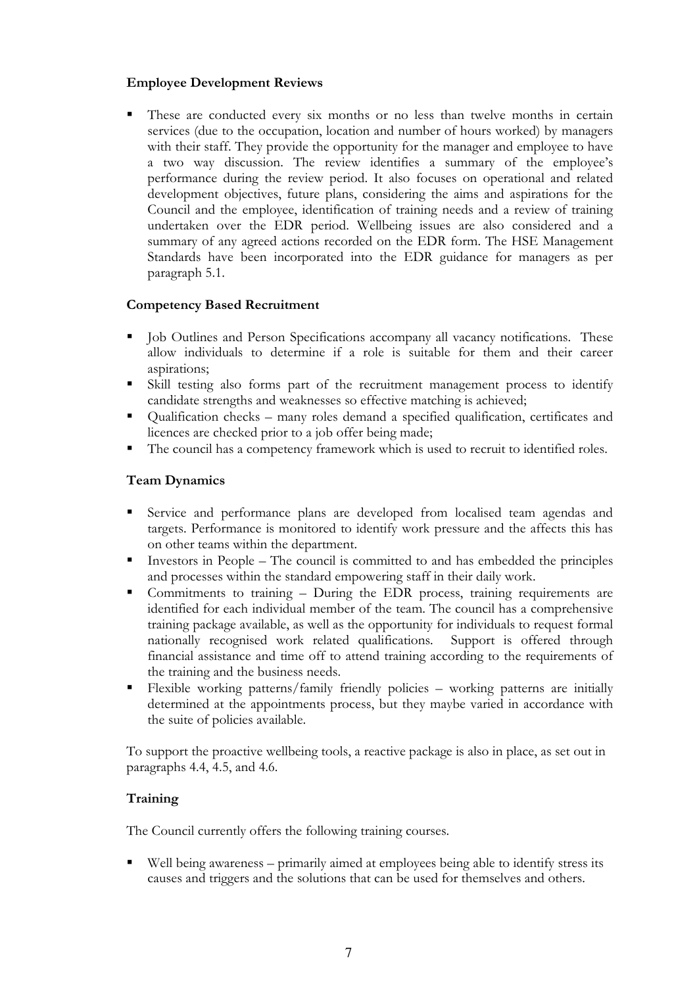## Employee Development Reviews

 These are conducted every six months or no less than twelve months in certain services (due to the occupation, location and number of hours worked) by managers with their staff. They provide the opportunity for the manager and employee to have a two way discussion. The review identifies a summary of the employee's performance during the review period. It also focuses on operational and related development objectives, future plans, considering the aims and aspirations for the Council and the employee, identification of training needs and a review of training undertaken over the EDR period. Wellbeing issues are also considered and a summary of any agreed actions recorded on the EDR form. The HSE Management Standards have been incorporated into the EDR guidance for managers as per paragraph 5.1.

## Competency Based Recruitment

- Job Outlines and Person Specifications accompany all vacancy notifications. These allow individuals to determine if a role is suitable for them and their career aspirations;
- Skill testing also forms part of the recruitment management process to identify candidate strengths and weaknesses so effective matching is achieved;
- Qualification checks many roles demand a specified qualification, certificates and licences are checked prior to a job offer being made;
- The council has a competency framework which is used to recruit to identified roles.

## Team Dynamics

- Service and performance plans are developed from localised team agendas and targets. Performance is monitored to identify work pressure and the affects this has on other teams within the department.
- Investors in People The council is committed to and has embedded the principles and processes within the standard empowering staff in their daily work.
- Commitments to training During the EDR process, training requirements are identified for each individual member of the team. The council has a comprehensive training package available, as well as the opportunity for individuals to request formal nationally recognised work related qualifications. Support is offered through financial assistance and time off to attend training according to the requirements of the training and the business needs.
- Flexible working patterns/family friendly policies working patterns are initially determined at the appointments process, but they maybe varied in accordance with the suite of policies available.

To support the proactive wellbeing tools, a reactive package is also in place, as set out in paragraphs 4.4, 4.5, and 4.6.

## Training

The Council currently offers the following training courses.

 Well being awareness – primarily aimed at employees being able to identify stress its causes and triggers and the solutions that can be used for themselves and others.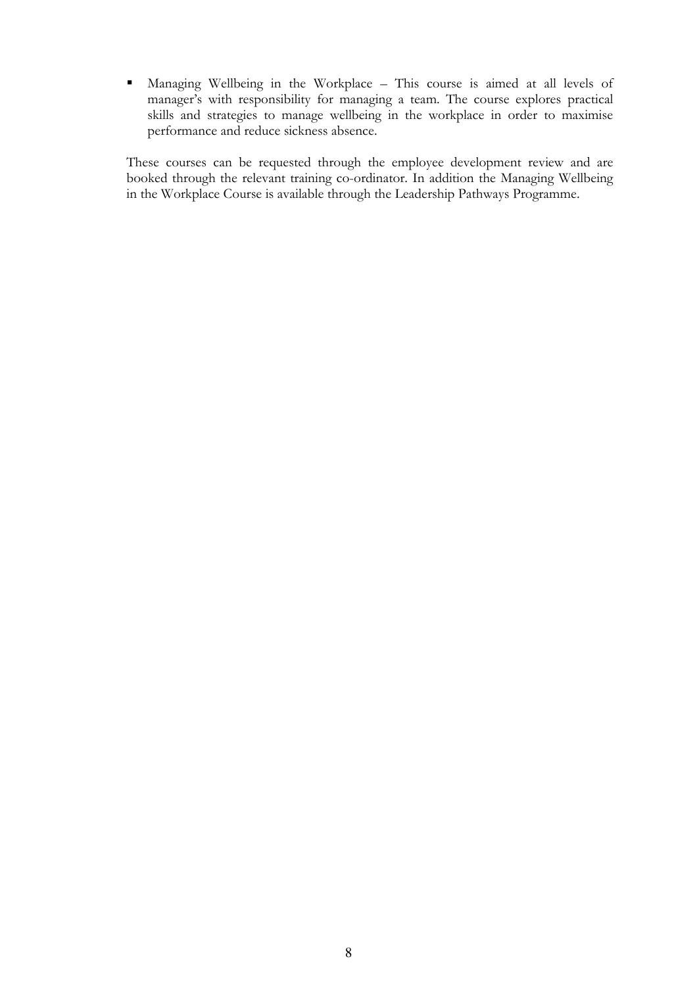Managing Wellbeing in the Workplace – This course is aimed at all levels of manager's with responsibility for managing a team. The course explores practical skills and strategies to manage wellbeing in the workplace in order to maximise performance and reduce sickness absence.

These courses can be requested through the employee development review and are booked through the relevant training co-ordinator. In addition the Managing Wellbeing in the Workplace Course is available through the Leadership Pathways Programme.